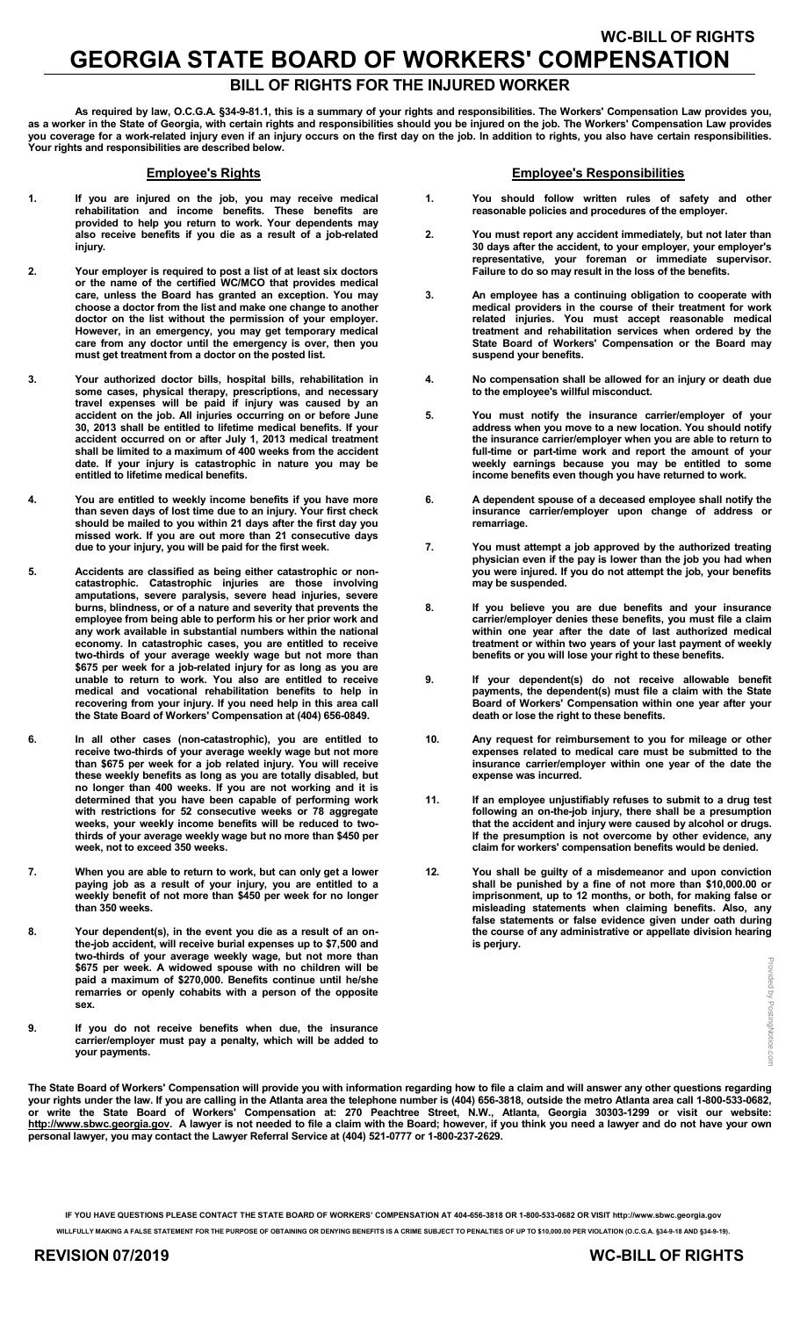## WC-BILL OF RIGHTS GEORGIA STATE BOARD OF WORKERS' COMPENSATION

**ILL OF RIGHTS FOR THE INJURED WORKE** 

 As required by law, O.C.G.A. §34-9-81.1, this is a summary of your rights and responsibilities. The Workers' Compensation Law provides you, as a worker in the State of Georgia, with certain rights and responsibilities should you be injured on the job. The Workers' Compensation Law provides you coverage for a work-related injury even if an injury occurs on the first day on the job. In addition to rights, you also have certain responsibilities. Your rights and responsibilities are described below.

#### Employee's Rights

- 1. If you are injured on the job, you may receive medical rehabilitation and income benefits. These benefits are provided to help you return to work. Your dependents may also receive benefits if you die as a result of a job-related injury.
- 2. Your employer is required to post a list of at least six doctors or the name of the certified WC/MCO that provides medical care, unless the Board has granted an exception. You may choose a doctor from the list and make one change to another doctor on the list without the permission of your employer. However, in an emergency, you may get temporary medical care from any doctor until the emergency is over, then you must get treatment from a doctor on the posted list.
- 3. Your authorized doctor bills, hospital bills, rehabilitation in some cases, physical therapy, prescriptions, and necessary travel expenses will be paid if injury was caused by an accident on the job. All injuries occurring on or before June 30, 2013 shall be entitled to lifetime medical benefits. If your accident occurred on or after July 1, 2013 medical treatment shall be limited to a maximum of 400 weeks from the accident date. If your injury is catastrophic in nature you may be entitled to lifetime medical benefits.
- 4. You are entitled to weekly income benefits if you have more than seven days of lost time due to an injury. Your first check should be mailed to you within 21 days after the first day you missed work. If you are out more than 21 consecutive days due to your injury, you will be paid for the first week.
- 5. Accidents are classified as being either catastrophic or noncatastrophic. Catastrophic injuries are those involving amputations, severe paralysis, severe head injuries, severe burns, blindness, or of a nature and severity that prevents the employee from being able to perform his or her prior work and any work available in substantial numbers within the national economy. In catastrophic cases, you are entitled to receive two-thirds of your average weekly wage but not more than \$675 per week for a job-related injury for as long as you are unable to return to work. You also are entitled to receive medical and vocational rehabilitation benefits to help in recovering from your injury. If you need help in this area call the State Board of Workers' Compensation at (404) 656-0849.
- 6. In all other cases (non-catastrophic), you are entitled to receive two-thirds of your average weekly wage but not more than \$675 per week for a job related injury. You will receive these weekly benefits as long as you are totally disabled, but no longer than 400 weeks. If you are not working and it is determined that you have been capable of performing work with restrictions for 52 consecutive weeks or 78 aggregate weeks, your weekly income benefits will be reduced to twothirds of your average weekly wage but no more than \$450 per week, not to exceed 350 weeks.
- 7. When you are able to return to work, but can only get a lower paying job as a result of your injury, you are entitled to a weekly benefit of not more than \$450 per week for no longer than 350 weeks.
- 8. Your dependent(s), in the event you die as a result of an onthe-job accident, will receive burial expenses up to \$7,500 and two-thirds of your average weekly wage, but not more than \$675 per week. A widowed spouse with no children will be paid a maximum of \$270,000. Benefits continue until he/she remarries or openly cohabits with a person of the opposite sex.
- 9. If you do not receive benefits when due, the insurance carrier/employer must pay a penalty, which will be added to your payments.

#### Employee's Responsibilities

- 1. You should follow written rules of safety and other reasonable policies and procedures of the employer.
- 2. You must report any accident immediately, but not later than 30 days after the accident, to your employer, your employer's representative, your foreman or immediate supervisor. Failure to do so may result in the loss of the benefits.
- 3. An employee has a continuing obligation to cooperate with medical providers in the course of their treatment for work related injuries. You must accept reasonable medical treatment and rehabilitation services when ordered by the State Board of Workers' Compensation or the Board may suspend your benefits.
- 4. No compensation shall be allowed for an injury or death due to the employee's willful misconduct.
- 5. You must notify the insurance carrier/employer of your address when you move to a new location. You should notify the insurance carrier/employer when you are able to return to full-time or part-time work and report the amount of your weekly earnings because you may be entitled to some income benefits even though you have returned to work.
- 6. A dependent spouse of a deceased employee shall notify the insurance carrier/employer upon change of address or remarriage.
- 7. You must attempt a job approved by the authorized treating physician even if the pay is lower than the job you had when you were injured. If you do not attempt the job, your benefits may be suspended.
- 8. If you believe you are due benefits and your insurance carrier/employer denies these benefits, you must file a claim within one year after the date of last authorized medical treatment or within two years of your last payment of weekly benefits or you will lose your right to these benefits.
- 9. If your dependent(s) do not receive allowable benefit payments, the dependent(s) must file a claim with the State Board of Workers' Compensation within one year after your death or lose the right to these benefits.
- 10. Any request for reimbursement to you for mileage or other expenses related to medical care must be submitted to the insurance carrier/employer within one year of the date the expense was incurred.
- 11. If an employee unjustifiably refuses to submit to a drug test following an on-the-job injury, there shall be a presumption that the accident and injury were caused by alcohol or drugs. If the presumption is not overcome by other evidence, any claim for workers' compensation benefits would be denied.
- 12. You shall be guilty of a misdemeanor and upon conviction shall be punished by a fine of not more than \$10,000.00 or imprisonment, up to 12 months, or both, for making false or misleading statements when claiming benefits. Also, any false statements or false evidence given under oath during the course of any administrative or appellate division hearing is perjury.

Provided by PostingNotice. Provided by PostingNotice.comCOIT

The State Board of Workers' Compensation will provide you with information regarding how to file a claim and will answer any other questions regarding your rights under the law. If you are calling in the Atlanta area the telephone number is (404) 656-3818, outside the metro Atlanta area call 1-800-533-0682, or write the State Board of Workers' Compensation at: 270 Peachtree Street, N.W., Atlanta, Georgia 30303-1299 or visit our website: http://www.sbwc.georgia.gov. A lawyer is not needed to file a claim with the Board; however, if you think you need a lawyer and do not have your own personal lawyer, you may contact the Lawyer Referral Service at (404) 521-0777 or 1-800-237-2629.

IF YOU HAVE QUESTIONS PLEASE CONTACT THE STATE BOARD OF WORKERS' COMPENSATION AT 404-656-3818 OR 1-800-533-0682 OR VISIT http://www.sbwc.georgia.gov

WILLFULLY MAKING A FALSE STATEMENT FOR THE PURPOSE OF OBTAINING OR DENYING BENEFITS IS A CRIME SUBJECT TO PENALTIES OF UP TO \$10,000.00 PER VIOLATION (O.C.G.A. §34-9-18 AND §34-9-19).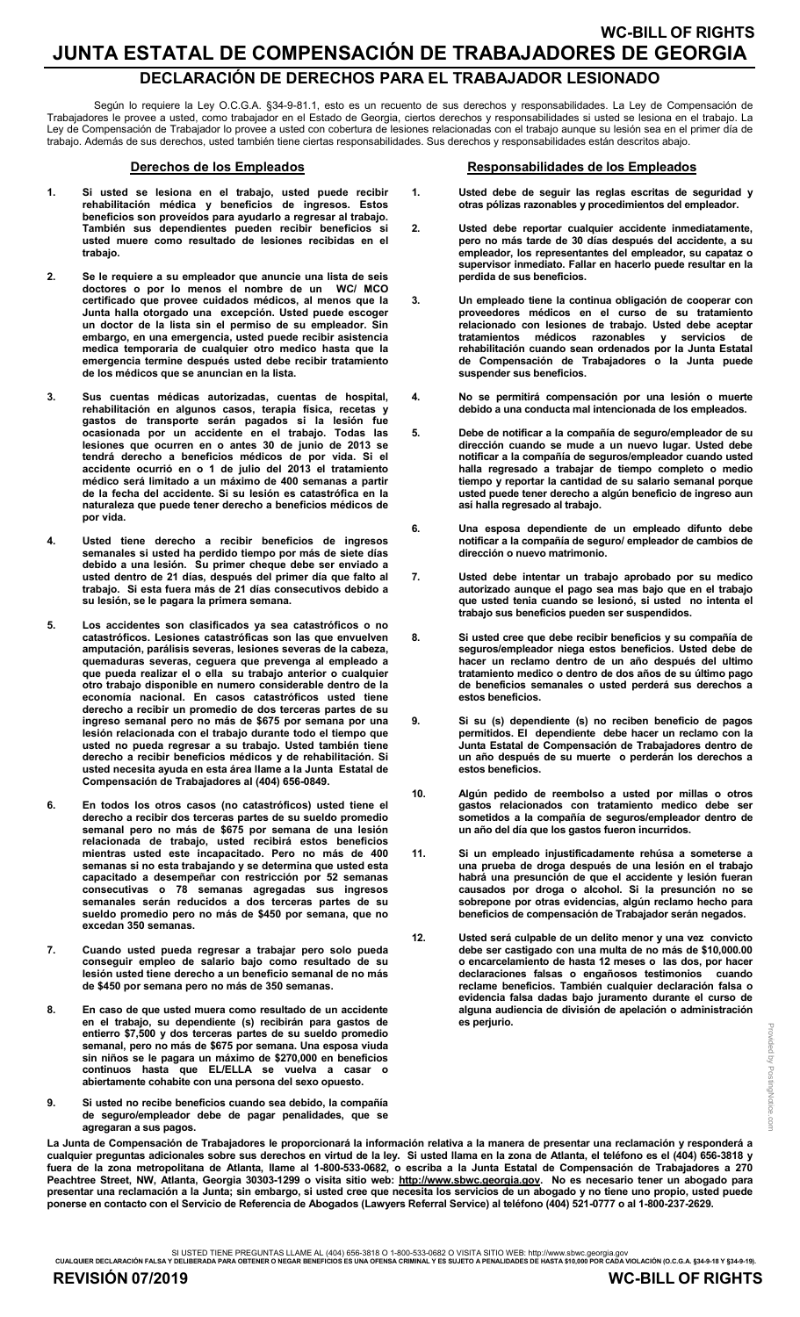### WC-BILL OF RIGHTS JUNTA ESTATAL DE COMPENSACIÓN DE TRABAJADORES DE GEORGIA DECLARACIÓN DE DERECHOS PARA EL TRABAJADOR LESIONADO

Según lo requiere la Ley O.C.G.A. §34-9-81.1, esto es un recuento de sus derechos y responsabilidades. La Ley de Compensación de Trabajadores le provee a usted, como trabajador en el Estado de Georgia, ciertos derechos y responsabilidades si usted se lesiona en el trabajo. La Ley de Compensación de Trabajador lo provee a usted con cobertura de lesiones relacionadas con el trabajo aunque su lesión sea en el primer día de trabajo. Además de sus derechos, usted también tiene ciertas responsabilidades. Sus derechos y responsabilidades están descritos abajo.

#### Derechos de los Empleados

- 1. Si usted se lesiona en el trabajo, usted puede recibir rehabilitación médica y beneficios de ingresos. Estos beneficios son proveídos para ayudarlo a regresar al trabajo. También sus dependientes pueden recibir beneficios si usted muere como resultado de lesiones recibidas en el trabajo.
- 2. Se le requiere a su empleador que anuncie una lista de seis doctores o por lo menos el nombre de un WC/ MCO certificado que provee cuidados médicos, al menos que la Junta halla otorgado una excepción. Usted puede escoger un doctor de la lista sin el permiso de su empleador. Sin embargo, en una emergencia, usted puede recibir asistencia medica temporaria de cualquier otro medico hasta que la emergencia termine después usted debe recibir tratamiento de los médicos que se anuncian en la lista.
- 3. Sus cuentas médicas autorizadas, cuentas de hospital, rehabilitación en algunos casos, terapia física, recetas y gastos de transporte serán pagados si la lesión fue ocasionada por un accidente en el trabajo. Todas las lesiones que ocurren en o antes 30 de junio de 2013 se tendrá derecho a beneficios médicos de por vida. Si el accidente ocurrió en o 1 de julio del 2013 el tratamiento médico será limitado a un máximo de 400 semanas a partir de la fecha del accidente. Si su lesión es catastrófica en la naturaleza que puede tener derecho a beneficios médicos de por vida.
- 4. Usted tiene derecho a recibir beneficios de ingresos semanales si usted ha perdido tiempo por más de siete días debido a una lesión. Su primer cheque debe ser enviado a usted dentro de 21 días, después del primer día que falto al trabajo. Si esta fuera más de 21 días consecutivos debido a su lesión, se le pagara la primera semana.
- 5. Los accidentes son clasificados ya sea catastróficos o no catastróficos. Lesiones catastróficas son las que envuelven amputación, parálisis severas, lesiones severas de la cabeza, quemaduras severas, ceguera que prevenga al empleado a que pueda realizar el o ella su trabajo anterior o cualquier otro trabajo disponible en numero considerable dentro de la economía nacional. En casos catastróficos usted tiene derecho a recibir un promedio de dos terceras partes de su ingreso semanal pero no más de \$675 por semana por una lesión relacionada con el trabajo durante todo el tiempo que usted no pueda regresar a su trabajo. Usted también tiene derecho a recibir beneficios médicos y de rehabilitación. Si usted necesita ayuda en esta área llame a la Junta Estatal de Compensación de Trabajadores al (404) 656-0849.
- 6. En todos los otros casos (no catastróficos) usted tiene el derecho a recibir dos terceras partes de su sueldo promedio semanal pero no más de \$675 por semana de una lesión relacionada de trabajo, usted recibirá estos beneficios mientras usted este incapacitado. Pero no más de 400 semanas si no esta trabajando y se determina que usted esta capacitado a desempeñar con restricción por 52 semanas consecutivas o 78 semanas agregadas sus ingresos semanales serán reducidos a dos terceras partes de su sueldo promedio pero no más de \$450 por semana, que no excedan 350 semanas.
- 7. Cuando usted pueda regresar a trabajar pero solo pueda conseguir empleo de salario bajo como resultado de su lesión usted tiene derecho a un beneficio semanal de no más de \$450 por semana pero no más de 350 semanas.
- 8. En caso de que usted muera como resultado de un accidente en el trabajo, su dependiente (s) recibirán para gastos de entierro \$7,500 y dos terceras partes de su sueldo promedio semanal, pero no más de \$675 por semana. Una esposa viuda sin niños se le pagara un máximo de \$270,000 en beneficios continuos hasta que EL/ELLA se vuelva a casar o abiertamente cohabite con una persona del sexo opuesto.
- 9. Si usted no recibe beneficios cuando sea debido, la compañía de seguro/empleador debe de pagar penalidades, que se agregaran a sus pagos.

#### Responsabilidades de los Empleados

- 1. Usted debe de seguir las reglas escritas de seguridad y otras pólizas razonables y procedimientos del empleador.
- 2. Usted debe reportar cualquier accidente inmediatamente, pero no más tarde de 30 días después del accidente, a su empleador, los representantes del empleador, su capataz o supervisor inmediato. Fallar en hacerlo puede resultar en la perdida de sus beneficios.
- 3. Un empleado tiene la continua obligación de cooperar con proveedores médicos en el curso de su tratamiento relacionado con lesiones de trabajo. Usted debe aceptar tratamientos médicos razonables y servicios de rehabilitación cuando sean ordenados por la Junta Estatal de Compensación de Trabajadores o la Junta puede suspender sus beneficios.
- 4. No se permitirá compensación por una lesión o muerte debido a una conducta mal intencionada de los empleados.
- 5. Debe de notificar a la compañía de seguro/empleador de su dirección cuando se mude a un nuevo lugar. Usted debe notificar a la compañía de seguros/empleador cuando usted halla regresado a trabajar de tiempo completo o medio tiempo y reportar la cantidad de su salario semanal porque usted puede tener derecho a algún beneficio de ingreso aun así halla regresado al trabajo.
- 6. Una esposa dependiente de un empleado difunto debe notificar a la compañía de seguro/ empleador de cambios de dirección o nuevo matrimonio.
- 7. Usted debe intentar un trabajo aprobado por su medico autorizado aunque el pago sea mas bajo que en el trabajo que usted tenia cuando se lesionó, si usted no intenta el trabajo sus beneficios pueden ser suspendidos.
- 8. Si usted cree que debe recibir beneficios y su compañía de seguros/empleador niega estos beneficios. Usted debe de hacer un reclamo dentro de un año después del ultimo tratamiento medico o dentro de dos años de su último pago de beneficios semanales o usted perderá sus derechos a estos beneficios.
- 9. Si su (s) dependiente (s) no reciben beneficio de pagos permitidos. El dependiente debe hacer un reclamo con la Junta Estatal de Compensación de Trabajadores dentro de un año después de su muerte o perderán los derechos a estos beneficios.
- 10. Algún pedido de reembolso a usted por millas o otros gastos relacionados con tratamiento medico debe ser sometidos a la compañía de seguros/empleador dentro de un año del día que los gastos fueron incurridos.
- 11. Si un empleado injustificadamente rehúsa a someterse a una prueba de droga después de una lesión en el trabajo habrá una presunción de que el accidente y lesión fueran causados por droga o alcohol. Si la presunción no se sobrepone por otras evidencias, algún reclamo hecho para beneficios de compensación de Trabajador serán negados.
- 12. Usted será culpable de un delito menor y una vez convicto debe ser castigado con una multa de no más de \$10,000.00 o encarcelamiento de hasta 12 meses o las dos, por hacer declaraciones falsas o engañosos testimonios reclame beneficios. También cualquier declaración falsa o evidencia falsa dadas bajo juramento durante el curso de alguna audiencia de división de apelación o administración es perjurio.

La Junta de Compensación de Trabajadores le proporcionará la información relativa a la manera de presentar una reclamación y responderá a cualquier preguntas adicionales sobre sus derechos en virtud de la ley. Si usted llama en la zona de Atlanta, el teléfono es el (404) 656-3818 y fuera de la zona metropolitana de Atlanta, llame al 1-800-533-0682, o escriba a la Junta Estatal de Compensación de Trabajadores a 270 Peachtree Street, NW, Atlanta, Georgia 30303-1299 o visita sitio web: http://www.sbwc.georgia.gov. No es necesario tener un abogado para presentar una reclamación a la Junta; sin embargo, si usted cree que necesita los servicios de un abogado y no tiene uno propio, usted puede ponerse en contacto con el Servicio de Referencia de Abogados (Lawyers Referral Service) al teléfono (404) 521-0777 o al 1-800-237-2629.

SI USTED TIENE PREGUNTAS LLAME AL (404) 656-3818 O 1-800-533-0682 O VISITA SITIO WEB: http://www.sbwc.georgia.gov<br>CUALQUIER DECLARACIÓN FALSA Y DELIBERADA PARA OBTENER O NEGAR BENEFICIOS ES UNA OFENSA CRIMINAL Y ES SUJETO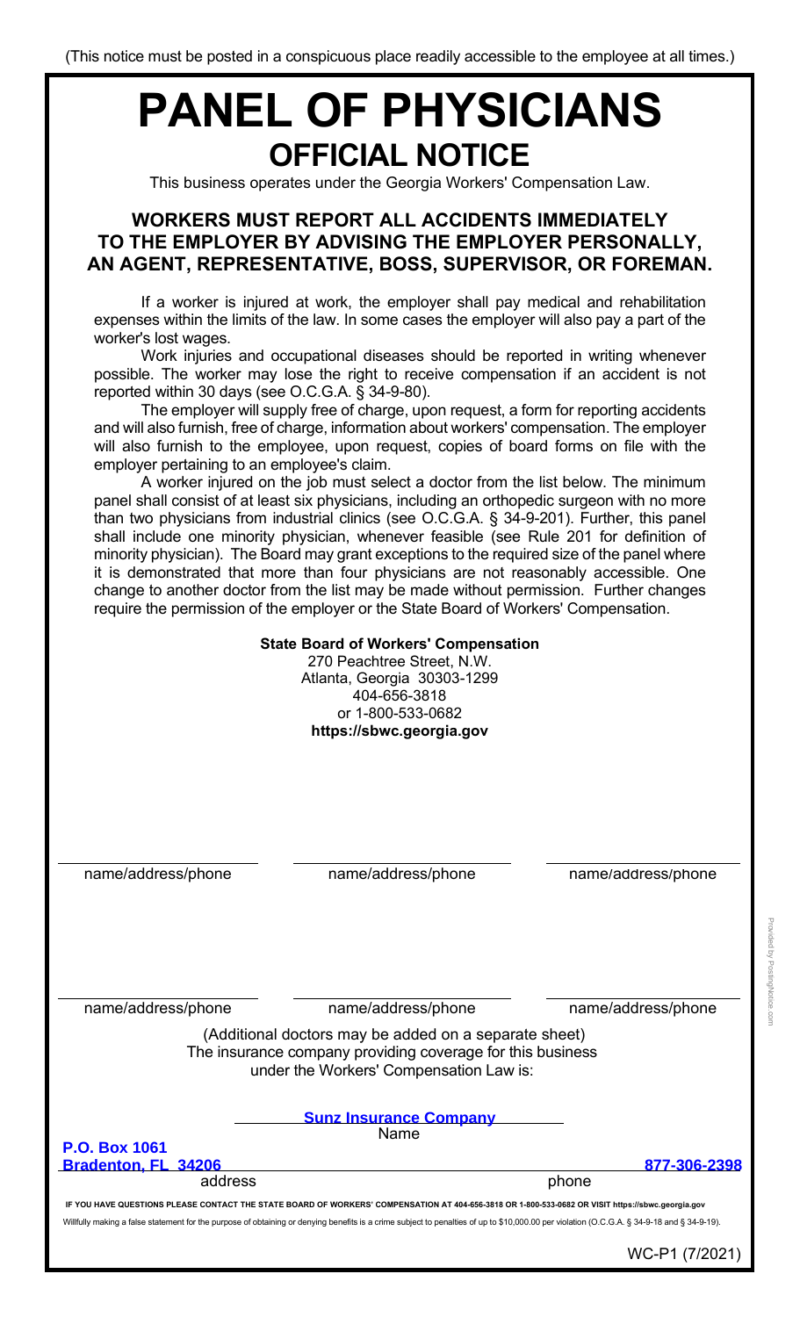# **PANEL OF PHYSICIANS OFFICIAL NOTICE**

This business operates under the Georgia Workers' Compensation Law.

## **WORKERS MUST REPORT ALL ACCIDENTS IMMEDIATELY TO THE EMPLOYER BY ADVISING THE EMPLOYER PERSONALLY, AN AGENT, REPRESENTATIVE, BOSS, SUPERVISOR, OR FOREMAN.**

If a worker is injured at work, the employer shall pay medical and rehabilitation expenses within the limits of the law. In some cases the employer will also pay a part of the worker's lost wages.

Work injuries and occupational diseases should be reported in writing whenever possible. The worker may lose the right to receive compensation if an accident is not reported within 30 days (see O.C.G.A. § 34-9-80).

The employer will supply free of charge, upon request, a form for reporting accidents and will also furnish, free of charge, information about workers' compensation. The employer will also furnish to the employee, upon request, copies of board forms on file with the employer pertaining to an employee's claim.

A worker injured on the job must select a doctor from the list below. The minimum panel shall consist of at least six physicians, including an orthopedic surgeon with no more than two physicians from industrial clinics (see O.C.G.A. § 34-9-201). Further, this panel shall include one minority physician, whenever feasible (see Rule 201 for definition of minority physician). The Board may grant exceptions to the required size of the panel where it is demonstrated that more than four physicians are not reasonably accessible. One change to another doctor from the list may be made without permission. Further changes require the permission of the employer or the State Board of Workers' Compensation.

### **State Board of Workers' Compensation**

270 Peachtree Street, N.W. Atlanta, Georgia 30303-1299 404-656-3818 or 1-800-533-0682 **https://sbwc.georgia.gov**

name/address/phone name/address/phone name/address/phone

name/address/phone name/address/phone name/address/phone

(Additional doctors may be added on a separate sheet) The insurance company providing coverage for this business under the Workers' Compensation Law is:

|                                                                                                                                                   | <b>Sunz Insurance Company</b><br>Name                                                                                                                                                      |              |  |  |
|---------------------------------------------------------------------------------------------------------------------------------------------------|--------------------------------------------------------------------------------------------------------------------------------------------------------------------------------------------|--------------|--|--|
| <b>P.O. Box 1061</b>                                                                                                                              |                                                                                                                                                                                            |              |  |  |
| Bradenton, FL 34206                                                                                                                               |                                                                                                                                                                                            | 877-306-2398 |  |  |
| address                                                                                                                                           |                                                                                                                                                                                            | phone        |  |  |
| IF YOU HAVE QUESTIONS PLEASE CONTACT THE STATE BOARD OF WORKERS' COMPENSATION AT 404-656-3818 OR 1-800-533-0682 OR VISIT https://sbwc.georgia.gov |                                                                                                                                                                                            |              |  |  |
|                                                                                                                                                   | Willfully making a false statement for the purpose of obtaining or denying benefits is a crime subject to penalties of up to \$10,000.00 per violation (O.C.G.A. § 34-9-18 and § 34-9-19). |              |  |  |

WC-P1 (7/2021)